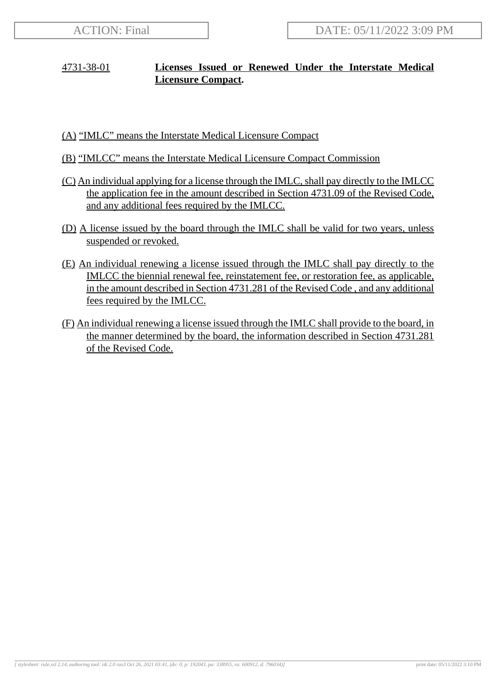## 4731-38-01 **Licenses Issued or Renewed Under the Interstate Medical Licensure Compact.**

- (A) "IMLC" means the Interstate Medical Licensure Compact
- (B) "IMLCC" means the Interstate Medical Licensure Compact Commission
- (C) An individual applying for a license through the IMLC, shall pay directly to the IMLCC the application fee in the amount described in Section 4731.09 of the Revised Code, and any additional fees required by the IMLCC.
- (D) A license issued by the board through the IMLC shall be valid for two years, unless suspended or revoked.
- (E) An individual renewing a license issued through the IMLC shall pay directly to the IMLCC the biennial renewal fee, reinstatement fee, or restoration fee, as applicable, in the amount described in Section 4731.281 of the Revised Code , and any additional fees required by the IMLCC.
- (F) An individual renewing a license issued through the IMLC shall provide to the board, in the manner determined by the board, the information described in Section 4731.281 of the Revised Code.